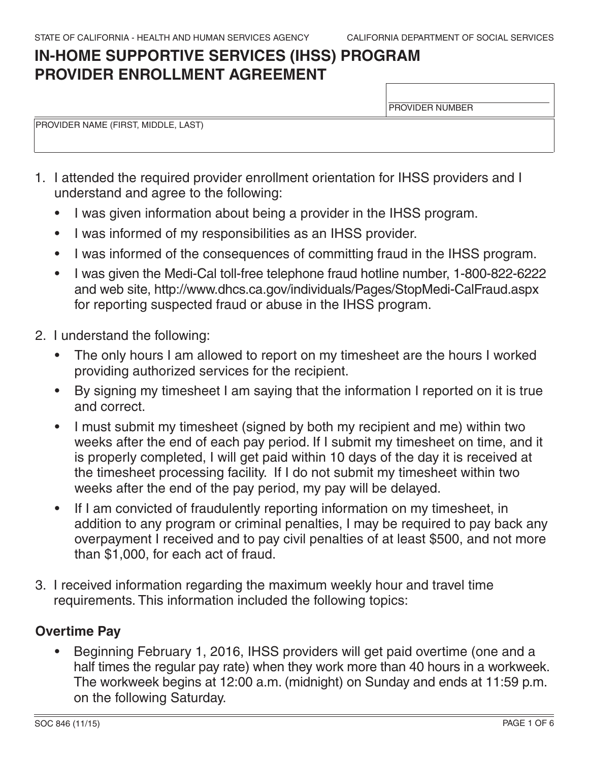# **IN-HOME SUPPORTIVE SERVICES (IHSS) PROGRAM PROVIDER ENROLLMENT AGREEMENT**

PROVIDER NUMBER

PROVIDER NAME (FIRST, MIDDLE, LAST)

- 1. I attended the required provider enrollment orientation for IHSS providers and I understand and agree to the following:
	- I was given information about being a provider in the IHSS program.
	- I was informed of my responsibilities as an IHSS provider.
	- I was informed of the consequences of committing fraud in the IHSS program.
	- I was given the Medi-Cal toll-free telephone fraud hotline number, 1-800-822-6222 and web site, http://www.dhcs.ca.gov/individuals/Pages/StopMedi-CalFraud.aspx for reporting suspected fraud or abuse in the IHSS program.
- 2. I understand the following:
	- The only hours I am allowed to report on my timesheet are the hours I worked providing authorized services for the recipient.
	- By signing my timesheet I am saying that the information I reported on it is true and correct.
	- I must submit my timesheet (signed by both my recipient and me) within two weeks after the end of each pay period. If I submit my timesheet on time, and it is properly completed, I will get paid within 10 days of the day it is received at the timesheet processing facility. If I do not submit my timesheet within two weeks after the end of the pay period, my pay will be delayed.
	- If I am convicted of fraudulently reporting information on my timesheet, in addition to any program or criminal penalties, I may be required to pay back any overpayment I received and to pay civil penalties of at least \$500, and not more than \$1,000, for each act of fraud.
- 3. I received information regarding the maximum weekly hour and travel time requirements. This information included the following topics:

### **Overtime Pay**

 half times the regular pay rate) when they work more than 40 hours in a workweek. The workweek begins at 12:00 a.m. (midnight) on Sunday and ends at 11:59 p.m. Beginning February 1, 2016, IHSS providers will get paid overtime (one and a on the following Saturday.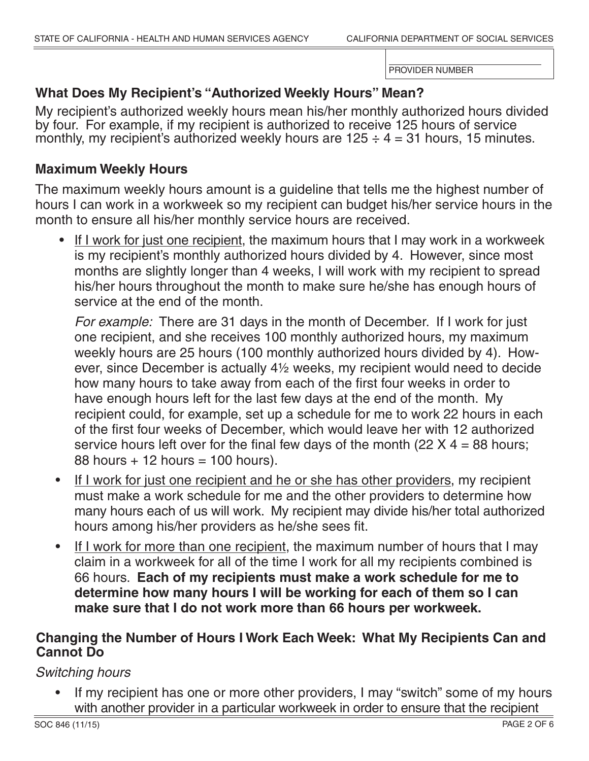## **What Does My Recipient's "Authorized Weekly Hours" Mean?**

My recipient's authorized weekly hours mean his/her monthly authorized hours divided by four. For example, if my recipient is authorized to receive 125 hours of service monthly, my recipient's authorized weekly hours are  $125 \div 4 = 31$  hours, 15 minutes.

### **Maximum Weekly Hours**

The maximum weekly hours amount is a guideline that tells me the highest number of hours I can work in a workweek so my recipient can budget his/her service hours in the month to ensure all his/her monthly service hours are received.

• If I work for just one recipient, the maximum hours that I may work in a workweek is my recipient's monthly authorized hours divided by 4. However, since most months are slightly longer than 4 weeks, I will work with my recipient to spread his/her hours throughout the month to make sure he/she has enough hours of service at the end of the month.

*For example:* There are 31 days in the month of December. If I work for just one recipient, and she receives 100 monthly authorized hours, my maximum weekly hours are 25 hours (100 monthly authorized hours divided by 4). However, since December is actually 4½ weeks, my recipient would need to decide how many hours to take away from each of the first four weeks in order to have enough hours left for the last few days at the end of the month. My recipient could, for example, set up a schedule for me to work 22 hours in each of the first four weeks of December, which would leave her with 12 authorized service hours left over for the final few days of the month (22  $X$  4 = 88 hours;  $88$  hours  $+12$  hours  $=100$  hours).

- many hours each of us will work. My recipient may divide his/her total authorized If I work for just one recipient and he or she has other providers, my recipient must make a work schedule for me and the other providers to determine how hours among his/her providers as he/she sees fit.
- 66 hours. **Each of my recipients must make a work schedule for me to**  • If I work for more than one recipient, the maximum number of hours that I may claim in a workweek for all of the time I work for all my recipients combined is **determine how many hours I will be working for each of them so I can make sure that I do not work more than 66 hours per workweek.**

### **Changing the Number of Hours I Work Each Week: What My Recipients Can and Cannot Do**

*Switching hours*

 with another provider in a particular workweek in order to ensure that the recipient If my recipient has one or more other providers, I may "switch" some of my hours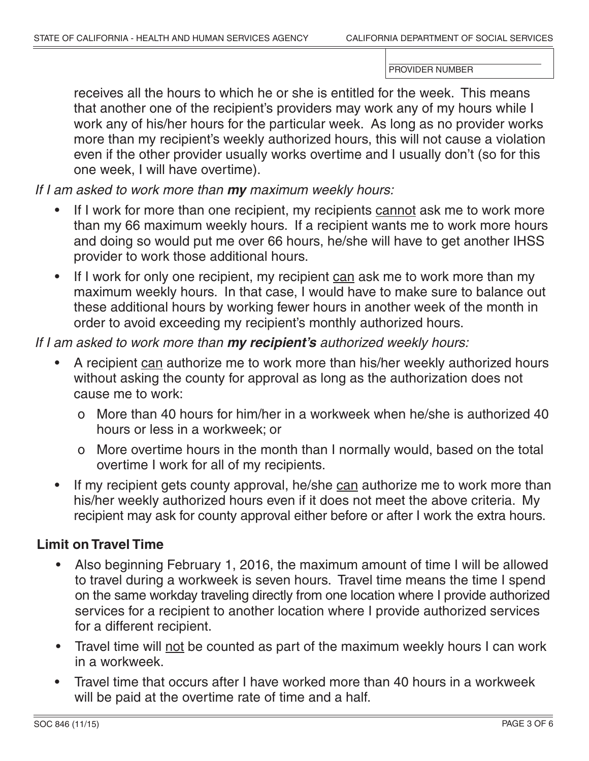receives all the hours to which he or she is entitled for the week. This means that another one of the recipient's providers may work any of my hours while I work any of his/her hours for the particular week. As long as no provider works more than my recipient's weekly authorized hours, this will not cause a violation even if the other provider usually works overtime and I usually don't (so for this one week, I will have overtime).

*If I am asked to work more than my maximum weekly hours:*

- If I work for more than one recipient, my recipients cannot ask me to work more than my 66 maximum weekly hours. If a recipient wants me to work more hours and doing so would put me over 66 hours, he/she will have to get another IHSS provider to work those additional hours.
- If I work for only one recipient, my recipient can ask me to work more than my maximum weekly hours. In that case, I would have to make sure to balance out these additional hours by working fewer hours in another week of the month in order to avoid exceeding my recipient's monthly authorized hours.

### *If I am asked to work more than my recipient's authorized weekly hours:*

- A recipient can authorize me to work more than his/her weekly authorized hours without asking the county for approval as long as the authorization does not cause me to work:
	- o More than 40 hours for him/her in a workweek when he/she is authorized 40 hours or less in a workweek; or
	- o More overtime hours in the month than I normally would, based on the total overtime I work for all of my recipients.
- recipient may ask for county approval either before or after I work the extra hours. • If my recipient gets county approval, he/she can authorize me to work more than his/her weekly authorized hours even if it does not meet the above criteria. My

### **Limit on Travel Time**

- to travel during a workweek is seven hours. Travel time means the time I spend on the same workday traveling directly from one location where I provide authorized Also beginning February 1, 2016, the maximum amount of time I will be allowed services for a recipient to another location where I provide authorized services for a different recipient.
- Travel time will not be counted as part of the maximum weekly hours I can work in a workweek.
- Travel time that occurs after I have worked more than 40 hours in a workweek will be paid at the overtime rate of time and a half.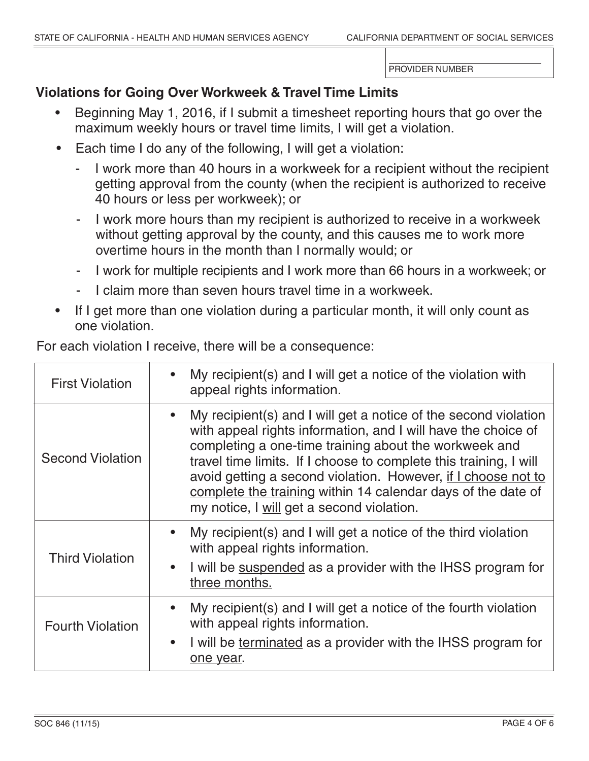### **Violations for Going Over Workweek & Travel Time Limits**

- Beginning May 1, 2016, if I submit a timesheet reporting hours that go over the maximum weekly hours or travel time limits, I will get a violation.
- Each time I do any of the following, I will get a violation:
	- I work more than 40 hours in a workweek for a recipient without the recipient getting approval from the county (when the recipient is authorized to receive 40 hours or less per workweek); or
	- I work more hours than my recipient is authorized to receive in a workweek without getting approval by the county, and this causes me to work more overtime hours in the month than I normally would; or
	- I work for multiple recipients and I work more than 66 hours in a workweek; or
	- I claim more than seven hours travel time in a workweek.
- If I get more than one violation during a particular month, it will only count as one violation.

First Violation **•** My recipient(s) and I will get a notice of the violation with appeal rights information. Second Violation • My recipient(s) and I will get a notice of the second violation with appeal rights information, and I will have the choice of completing a one-time training about the workweek and travel time limits. If I choose to complete this training, I will avoid getting a second violation. However, if I choose not to complete the training within 14 calendar days of the date of my notice, I will get a second violation. Third Violation • My recipient(s) and I will get a notice of the third violation with appeal rights information. I will be suspended as a provider with the IHSS program for three months. Fourth Violation • My recipient(s) and I will get a notice of the fourth violation with appeal rights information. I will be terminated as a provider with the IHSS program for one year.

For each violation I receive, there will be a consequence: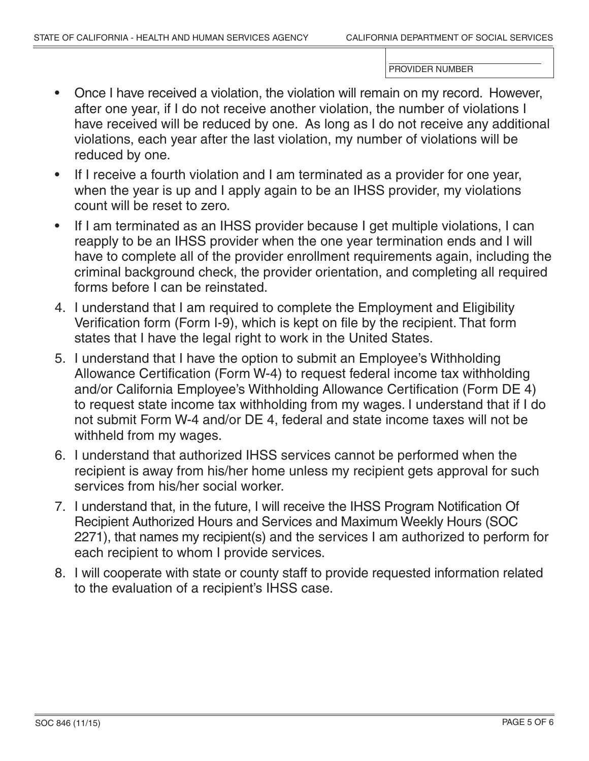- Once I have received a violation, the violation will remain on my record. However, after one year, if I do not receive another violation, the number of violations I have received will be reduced by one. As long as I do not receive any additional violations, each year after the last violation, my number of violations will be reduced by one.
- If I receive a fourth violation and I am terminated as a provider for one year, when the year is up and I apply again to be an IHSS provider, my violations count will be reset to zero.
- If I am terminated as an IHSS provider because I get multiple violations, I can reapply to be an IHSS provider when the one year termination ends and I will have to complete all of the provider enrollment requirements again, including the criminal background check, the provider orientation, and completing all required forms before I can be reinstated.
- 4. I understand that I am required to complete the Employment and Eligibility Verification form (Form I-9), which is kept on file by the recipient. That form states that I have the legal right to work in the United States.
- 5. I understand that I have the option to submit an Employee's Withholding Allowance Certification (Form W-4) to request federal income tax withholding and/or California Employee's Withholding Allowance Certification (Form DE 4) to request state income tax withholding from my wages. I understand that if I do not submit Form W4 and/or DE 4, federal and state income taxes will not be withheld from my wages.
- 6. I understand that authorized IHSS services cannot be performed when the recipient is away from his/her home unless my recipient gets approval for such services from his/her social worker.
- 7. I understand that, in the future, I will receive the IHSS Program Notification Of Recipient Authorized Hours and Services and Maximum Weekly Hours (SOC 2271), that names my recipient(s) and the services I am authorized to perform for each recipient to whom I provide services.
- 8. I will cooperate with state or county staff to provide requested information related to the evaluation of a recipient's IHSS case.